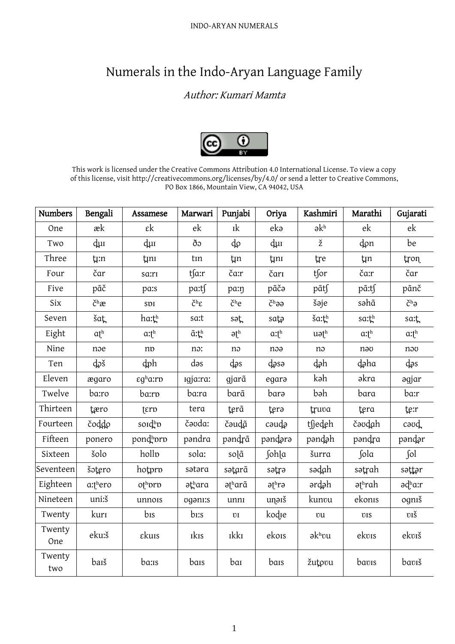## Numerals in the Indo-Aryan Language Family

## Author: Kumari Mamta



This work is licensed under the Creative Commons Attribution 4.0 International License. To view a copy of this license, visit http://creativecommons.org/licenses/by/4.0/ or send a letter to Creative Commons, PO Box 1866, Mountain View, CA 94042, USA

| <b>Numbers</b> | Bengali           | Assamese                      | Marwari               | Punjabi                | Oriya                     | Kashmiri          | Marathi                | Gujarati         |
|----------------|-------------------|-------------------------------|-----------------------|------------------------|---------------------------|-------------------|------------------------|------------------|
| One            | æk                | $\epsilon$ k                  | ek                    | Ik                     | eka                       | $\partial k^h$    | ek                     | ek               |
| Two            | dui               | dui                           | ðο                    | ф                      | dui                       | ž                 | don                    | be               |
| Three          | t <sub>i</sub> :n | tini                          | tın                   | tin                    | tini                      | tre               | <b>t</b> <sub>In</sub> | tron             |
| Four           | čar               | sa:rı                         | tsa:r                 | ča:r                   | čari                      | tfor              | ča:r                   | čar              |
| Five           | pãč               | pa:s                          | pa:tf                 | pa:n                   | pãča                      | pãt∫              | pã:tſ                  | pãnč             |
| Six            | $\check{c}^h$ æ   | SDI                           | $\check{C}^h\epsilon$ | č <sup>h</sup> e       | č <sup>h</sup> aa         | šəje              | səhã                   | č <sup>h</sup> ə |
| Seven          | šaţ               | ha:th                         | sa:t                  | sət                    | sata                      | ša:th             | sa:th                  | sa:t             |
| Eight          | $\alpha t^h$      | $a$ : $t^h$                   | $\tilde{a}$ : $t^h$   | $\partial f^h$         | $a: t^h$                  | $u \partial t^h$  | a: t <sup>h</sup>      | $a:$ th          |
| Nine           | noe               | np                            | no:                   | nə                     | noa                       | nə                | nəo                    | nov              |
| Ten            | doš               | dph                           | dəs                   | dəs                    | dəsə                      | dəh               | daha                   | dəs              |
| Eleven         | ægaro             | $\epsilon q^h$ a:r $\upsilon$ | Igja:ra:              | gjarã                  | egara                     | kəh               | əkra                   | əgjar            |
| Twelve         | ba:ro             | ba:rp                         | ba:ra                 | barã                   | bara                      | bəh               | bara                   | ba:r             |
| Thirteen       | tæro              | $f$ $g$ $r$ $p$               | tera                  | terã                   | tera                      | truva             | tera                   | te:r             |
| Fourteen       | čoddo             | soidhp                        | čavda:                | čəudã                  | cəudə                     | tfjedeh           | čəvdah                 | caud             |
| Fifteen        | ponero            | pondhprp                      | pəndra                | pəndrã                 | pəndərə                   | pandah            | pəndra                 | pəndər           |
| Sixteen        | šolo              | hollo                         | sola:                 | solã                   | fohla                     | šurra             | fola                   | $\int$ ol        |
| Seventeen      | šotero            | hotpro                        | sətəra                | sətarã                 | sətrə                     | sədah             | sətrah                 | səttər           |
| Eighteen       | a:thero           | othprp                        | əthara                | ətharã                 | $\partial f^h r \partial$ | ərdəh             | $a^{\text{th}}$ rah    | ədha:r           |
| Nineteen       | uni:š             | unnois                        | ogani:s               | unnı                   | unaiš                     | kunvu             | ekonis                 | ogniš            |
| Twenty         | kuri              | bis                           | $b$ <sub>i</sub> :s   | $\mathbf{U}\mathbf{I}$ | kodie                     | vu                | <b>UIS</b>             | <b>v</b> iš      |
| Twenty<br>One  | eku:š             | εkuis                         | <b>IkIs</b>           | <b>IkkI</b>            | ekois                     | $\partial k^h$ vu | ekvis                  | ekviš            |
| Twenty<br>two  | baiš              | ba:is                         | bais                  | bar                    | bais                      | žutovu            | bavis                  | bavıš            |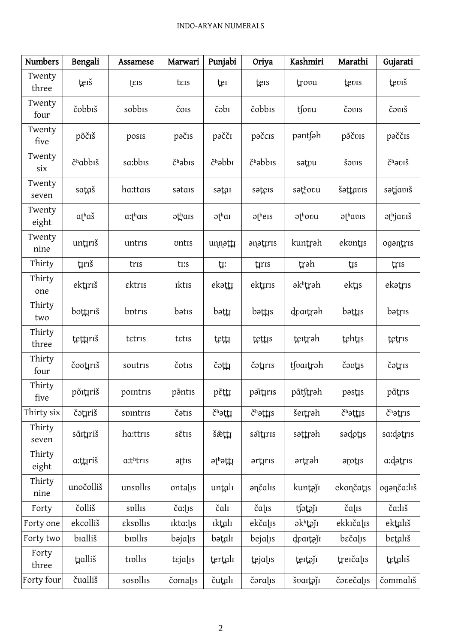| <b>Numbers</b>  | Bengali              | Assamese                          | Marwari                     | Punjabi                     | Oriya                | Kashmiri                    | Marathi                      | Gujarati                      |
|-----------------|----------------------|-----------------------------------|-----------------------------|-----------------------------|----------------------|-----------------------------|------------------------------|-------------------------------|
| Twenty<br>three | teiš                 | $t$ <sub>EIS</sub>                | teis                        | ter                         | teis                 | trovu                       | tevis                        | teviš                         |
| Twenty<br>four  | čobbiš               | sobbis                            | čois                        | čəbi                        | čobbis               | tsovu                       | čovis                        | čoviš                         |
| Twenty<br>five  | põčiš                | posis                             | pačis                       | pəčči                       | pačcis               | pantsah                     | põčvis                       | paččis                        |
| Twenty<br>six   | č <sup>h</sup> abbiš | sa:bbis                           | $\check{c}^{\text{h}}$ əbis | $\check{c}^{\text{h}}$ əbbi | č <sup>h</sup> əbbis | sətvu                       | šovis                        | $\check{C}^h$ əviš            |
| Twenty<br>seven | sataš                | ha:ttais                          | sətais                      | sətai                       | saters               | səthovu                     | šəttavıs                     | sətjavıš                      |
| Twenty<br>eight | $atha\check{s}$      | $a$ : $\uparrow$ <sup>h</sup> ais | $\partial t^h$ ais          | $\partial t^h$ ar           | $\partial f^h$ eis   | $\partial t^{\text{h}}$ ovu | $\partial t^{\text{h}}$ avis | $\partial t^{\text{h}}$ javıš |
| Twenty<br>nine  | untiriš              | untris                            | ontis                       | unnattı                     | anatiris             | kuntrəh                     | ekontis                      | ogantris                      |
| Thirty          | tırıš                | tris                              | ti:s                        | ţŗ:                         | tiris                | trəh                        | <b>t</b>                     | tris                          |
| Thirty<br>one   | ektırıš              | εktris                            | <b>Iktis</b>                | ekətti                      | ektırıs              | əkʰtrəh                     | ektis                        | ekətris                       |
| Thirty<br>two   | bottiriš             | botris                            | bətis                       | $b$ ə $t$ $\mu$             | bəttis               | dvartrəh                    | $b$ ə $t$ $\mu s$            | bətris                        |
| Thirty<br>three | tettırıš             | tetris                            | tetis                       | tetti                       | tetus                | tertrah                     | tehtis                       | tetris                        |
| Thirty<br>four  | čovtriš              | soutris                           | čotis                       | čotti                       | čətris               | tsvartrah                   | čaotis                       | čətris                        |
| Thirty<br>five  | põrtµriš             | pointris                          | põntis                      | pɛ̃ṭ‡                       | pəĭtırıs             | pãt∫trəh                    | pəstıs                       | pãtris                        |
| Thirty six      | čətrriš              | spintris                          | čətis                       | čhattı                      | č <sup>h</sup> əttis | šertrah                     | č <sup>h</sup> əttis         | čhatris                       |
| Thirty<br>seven | sãitriš              | ha:ttris                          | sẽtis                       | šættı                       | səttiris             | səttrəh                     | sədotis                      | sa:dətris                     |
| Thirty<br>eight | a:ttıriš             | a:thtris                          | attis                       | əthətti                     | ərtırıs              | ərtrəh                      | arotis                       | a:dətris                      |
| Thirty<br>nine  | unočolliš            | unspllis                          | ontalis                     | untalı                      | ənčalıs              | kuntajı                     | ekončatis                    | oganča:liš                    |
| Forty           | čolliš               | spllis                            | ča:lis                      | čalı                        | čalis                | tsətəji                     | čalīs                        | ča:līš                        |
| Forty one       | ekcolliš             | εkspllis                          | ikta:lis                    | <b>Iktali</b>               | ekčalis              | əkhtəji                     | ekkičalis                    | ektalıš                       |
| Forty two       | bialliš              | brollis                           | bəjalıs                     | bətalı                      | bejalis              | dvartoji                    | bečalis                      | betališ                       |
| Forty<br>three  | tralliš              | tipllis                           | tejalis                     | tertalı                     | tejalis              | <u>tertaj</u> ı             | treičalis                    | tetališ                       |
| Forty four      | čualliš              | sospllis                          | čomalis                     | čutali                      | čoralis              | švartąji                    | čovečalis                    | čommališ                      |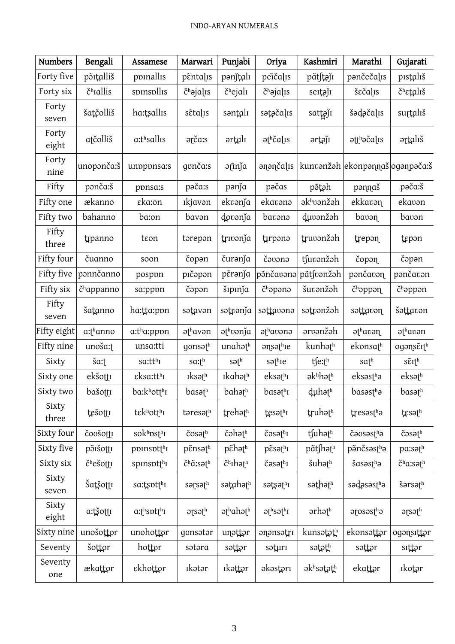| <b>Numbers</b> | Bengali                         | Assamese                | Marwari                          | Punjabi                             | Oriya                                    | Kashmiri            | Marathi                          | Gujarati                                           |
|----------------|---------------------------------|-------------------------|----------------------------------|-------------------------------------|------------------------------------------|---------------------|----------------------------------|----------------------------------------------------|
| Forty five     | põrtalliš                       | ppinallis               | pentalis                         | pənjtalı                            | peičalis                                 | pãt∫təjı            | pančečalis                       | pistališ                                           |
| Forty six      | č <sup>h</sup> rallis           | spinspllis              | č <sup>h</sup> əjalıs            | č <sup>h</sup> ejalı                | č <sup>h</sup> əjalıs                    | seitaji             | šεčα[s                           | č <sup>h</sup> εtališ                              |
| Forty<br>seven | šatčolliš                       | ha:tsallis              | sẽtaļīs                          | səntalı                             | sətəčalıs                                | sattajı             | šədəčalıs                        | surtalıš                                           |
| Forty<br>eight | atčolliš                        | a:thsallis              | arča:s                           | ərtalı                              | $\partial t^h$ čal <sub>IS</sub>         | ərtəji              | $\partial$ atth $\partial$ calis | ərtalıš                                            |
| Forty<br>nine  | unoponča:š                      | unpppnsa:s              | gonča:s                          | əñnja                               | anančalis                                |                     | kunvanžah ekonpannaš oganpača:   |                                                    |
| Fifty          | ponča:š                         | ppnsa:s                 | pača:s                           | pənja                               | pačas                                    | põtəh               | pannaš                           | pača:š                                             |
| Fifty one      | ækanno                          | εka:on                  | <i>ikjavən</i>                   | ekvənja                             | ekavənə                                  | əkhvənžəh           | ekkavən                          | ekavən                                             |
| Fifty two      | bahanno                         | ba:on                   | bavən                            | dovənja                             | bavənə                                   | duvənžəh            | bavən                            | bavən                                              |
| Fifty<br>three | tipanno                         | teon                    | tərepən                          | trivanja                            | tırpana                                  | truvənžəh           | trepan                           | tepan                                              |
| Fifty four     | čuanno                          | soon                    | čopan                            | čurənja                             | čovana                                   | tsuvanžah           | čopaη                            | čopan                                              |
| Fifty five     | ponnčanno                       | pospon                  | pıčəpən                          | pērənja                             | põnčavana                                | pãtsvanžah          | pančavan                         | pančavan                                           |
| Fifty six      | č <sup>h</sup> appanno          | sa:pppn                 | čəpən                            | šipinja                             | č <sup>h</sup> əpənə                     | šuvanžah            | č <sup>h</sup> əppən             | č <sup>h</sup> əppən                               |
| Fifty<br>seven | šatanno                         | ha:tta:ppn              | sətavən                          | sətvənja                            | sattavana                                | sətvənžəh           | səttavən                         | šəttavən                                           |
| Fifty eight    | a:thanno                        | a:tha:pppn              | $\partial f^h$ avən              | athvanja                            | athavana                                 | arvanžah            | $\partial f^h$ avən              | əthavən                                            |
| Fifty nine     | unoša: <sub>1</sub>             | unsa:tti                | gonsath                          | unahath                             | $\partial$ ns $\partial$ <sup>h</sup> ie | kunhath             | ekonsafh                         | ogans $\tilde{\epsilon}$ <sub>I</sub> <sup>h</sup> |
| Sixty          | ša:t                            | sa:tth <sub>I</sub>     | $s$ a: $t^h$                     | səth                                | səthre                                   | tfe:th              | $\mathsf{sat}^{\mathrm{h}}$      | $s\tilde{\epsilon}$ Ith                            |
| Sixty one      | ekšottī                         | $\epsilon$ ksa:tt $h_I$ | <b>Iks</b> əth                   | Ikahəth                             | $ek$ sət $h_I$                           | $a kh$ haf $h$      | eksəsthə                         | $eks$ a <sup>th</sup>                              |
| Sixty two      | bašotti                         | ba:khotth <sub>I</sub>  | basəth                           | bahath                              | basəthı                                  | duhəth              | basəsthə                         | basəth                                             |
| Sixty<br>three | tešotti                         | tekhot <sub>[h]</sub>   | təresəth                         | trehath                             | tesath                                   | truhath             | tresastha                        | tesath                                             |
| Sixty four     | čovšotti                        | sokhpsth                | $\zeta$ osəth                    | čəhəth                              | $\zeta$ osət $h_I$                       | tfuhath             | čavsastha                        | čosath                                             |
| Sixty five     | põišotti                        | poinsotth               | $p\tilde{\epsilon}$ nsət $^h$    | $p\tilde{\epsilon}$ həth            | $p\tilde{\epsilon}$ sət $h_I$            | pãtshath            | pənčsəsthə                       | pa:səth                                            |
| Sixty six      | $\check{c}$ <sup>h</sup> ešottī | spinsotth               | $\check{c}^h\tilde{a}$ :sət $^h$ | $\check{c}^{\rm h}$ Ihət $^{\rm h}$ | $\zeta$ əsə $\uparrow$ <sup>h</sup> ı    | šuhath              | $\text{S}$ asəst $h$ ə           | $\check{c}^{\text{h}}$ a:sət $^{\text{h}}$         |
| Sixty<br>seven | Šatšottī                        | sa:tsptth <sub>1</sub>  | sərsəth                          | sətahəth                            | sətsəthi                                 | səthəth             | sədəsəsthə                       | šərsəth                                            |
| Sixty<br>eight | a:tšottī                        | $a$ : the spectrum      | $\partial \mathfrak{g}$          | $\partial t^h$ ah $\partial t^h$    | $\partial t^h$ sə $t^h$                  | ər hət <sup>h</sup> | arosastha                        | $\partial \mathfrak{g}$                            |
| Sixty nine     | unošottor                       | unohottor               | gonsatar                         | unattar                             | anansatrı                                | kunsətəth           | ekonsəttər                       | ogansittar                                         |
| Seventy        | šottor                          | hottor                  | sətəra                           | səttər                              | səturi                                   | sətəth              | səttər                           | sıttər                                             |
| Seventy<br>one | ækattor                         | εkhottør                | <b>Ik</b> ətər                   | <b>ıkəttər</b>                      | əkəstəri                                 | əkʰsətətʰ           | ekattər                          | ıkotər                                             |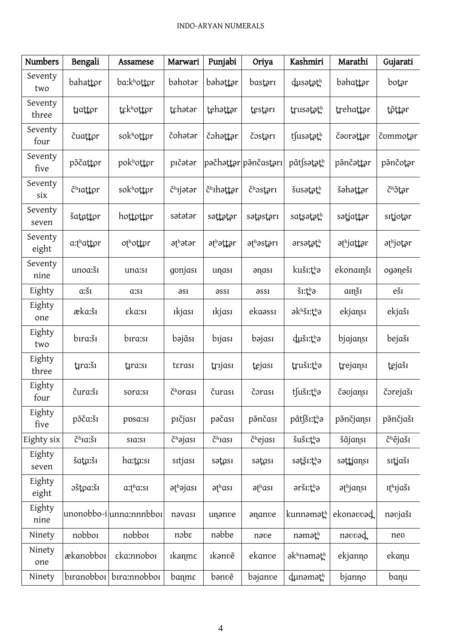| <b>Numbers</b>   | Bengali               | Assamese                                  | Marwari                         | Punjabi             | Oriya                | Kashmiri                           | Marathi   | Gujarati                      |
|------------------|-----------------------|-------------------------------------------|---------------------------------|---------------------|----------------------|------------------------------------|-----------|-------------------------------|
| Seventy<br>two   | bahattor              | ba:khottor                                | bəhotər                         | bəhəttər            | bastəri              | dusətəth                           | bəhattər  | botar                         |
| Seventy<br>three | tiattor               | tekhottor                                 | tehətər                         | tehattar            | testari              | trusatath                          | trehattar | tõttər                        |
| Seventy<br>four  | čuattor               | sokhottor                                 | čohatar                         | čəhəttər            | čostari              | tsusatath                          | čəvrəttər | čummotar                      |
| Seventy<br>five  | põčattor              | pokhottor                                 | pıčətər                         |                     | pəčhəttər pənčastərı | pãt∫sətəth                         | pənčəttər | pənčotər                      |
| Seventy<br>six   | č <sup>h</sup> iattor | sokhottor                                 | č <sup>h</sup> ıjətər           | čhthattar           | čhostori             | šusatath                           | šəhəttər  | čhõtar                        |
| Seventy<br>seven | šatattor              | hottottor                                 | sətətər                         | səttətər            | sətəstəri            | satsətəth                          | sətjattər | sıtjotar                      |
| Seventy<br>eight | a:thattor             | othottor                                  | əthətər                         | əthəttər            | əthəstəri            | arsatath                           | əthjattər | əthjotər                      |
| Seventy<br>nine  | unoa:šī               | una:sı                                    | gonjası                         | unası               | anası                | kuši:tha                           | ekonamši  | oganeši                       |
| Eighty           | $a:\S_1$              | a:si                                      | əsi                             | əssı                | əssı                 | $\check{\mathsf{S}}$ I: $\sharp$ a | amši      | eši                           |
| Eighty<br>one    | æka:šī                | εkα:sı                                    | ikjası                          | <i>ikjasi</i>       | ekaassi              | əkhšı:thə                          | ekjansı   | ekjaši                        |
| Eighty<br>two    | bıra:šı               | bıra:sı                                   | bəjãsı                          | bıjası              | bəjası               | duši:tha                           | bjajansı  | bejaši                        |
| Eighty<br>three  | tıra:šı               | tira:sı                                   | terasi                          | trijasi             | tejası               | truši:thə                          | trejansı  | tejaši                        |
| Eighty<br>four   | čura:šī               | sora:sı                                   | č <sup>h</sup> orası            | čurası              | čorası               | tsuši:tha                          | čəvjansı  | čorejaši                      |
| Eighty<br>five   | põča:šī               | ppsa:sı                                   | pičjasi                         | pačası              | põnčası              | pãtsi:țha                          | põnčjansı | põnčjašı                      |
| Eighty six       | č <sup>h</sup> Ia:šī  | sia:si                                    | č <sup>h</sup> əjası            | č <sup>h</sup> Iasi | č <sup>h</sup> ejası | šuši:tha                           | šãjansı   | č <sup>h</sup> ějašı          |
| Eighty<br>seven  | šata:šī               | ha:ta:sı                                  | sitjasi                         | sətası              | sətası               | sətši:tha                          | səttjansı | sıtjašı                       |
| Eighty<br>eight  | oštoa:ši              | $a$ : $\uparrow$ <sup>h</sup> $a$ : $s$ I | $\partial t^h$ $\partial j$ ası | $\partial t^h$ ası  | $\partial f^h$ asi   | aršı:tha                           | əthjansı  | <i>r</i> t <sup>h</sup> rjaši |
| Eighty<br>nine   |                       | unonobbo-i unna:nnnbbo1                   | nəvası                          | unanve              | ananve               | kunnəməth                          | ekonavvad | nəvjašı                       |
| Ninety           | nobboi                | nobboi                                    | nobe                            | nəbbe               | nave                 | nəməth                             | nəvvəd    | neo                           |
| Ninety<br>one    | ækanobbor             | εka:nnoboi                                | <i>ιkanmε</i>                   | <b>Ikanv</b> ě      | ekanve               | əkhnəməth                          | ekjanno   | ekanu                         |
| Ninety           | biranobboi            | bira:nnobboi                              | banme                           | bənve               | bəjanve              | dunamath                           | bjanno    | banu                          |